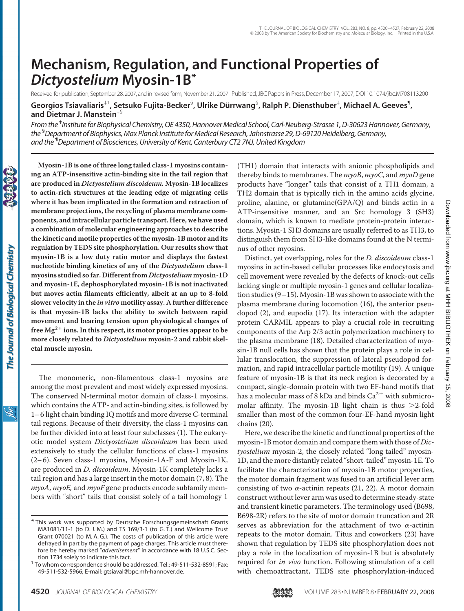# **Mechanism, Regulation, and Functional Properties of** *Dictyostelium* **Myosin-1B\***

Received for publication, September 28, 2007, and in revised form, November 21, 2007 Published, JBC Papers in Press, December 17, 2007, DOI 10.1074/jbc.M708113200

**Georgios Tsiavaliaris**‡1**, Setsuko Fujita-Becker**§ **, Ulrike Du¨ rrwang**§ **, Ralph P. Diensthuber**‡ **, Michael A. Geeves**¶ **, and Dietmar J. Manstein**‡§

*From the* ‡ *Institutefor Biophysical Chemistry, OE 4350, Hannover Medical School, Carl-Neuberg-Strasse 1, D-30623 Hannover, Germany, the* § *Department of Biophysics, Max Planck Institutefor Medical Research, Jahnstrasse 29, D-69120 Heidelberg, Germany, and the* ¶ *Department of Biosciences, University of Kent, Canterbury CT2 7NJ, United Kingdom*

**are produced in** *Dictyostelium discoideum.* **Myosin-1B localizes to actin-rich structures at the leading edge of migrating cells where it has been implicated in the formation and retraction of membrane projections, the recycling of plasma membrane components, and intracellular particle transport. Here, we have used a combination of molecular engineering approaches to describe the kinetic and motile properties of the myosin-1B motor and its regulation by TEDS site phosphorylation. Our results show that myosin-1B is a low duty ratio motor and displays the fastest nucleotide binding kinetics of any of the** *Dictyostelium* **class-1 myosins studied so far. Different from** *Dictyostelium* **myosin-1D and myosin-1E, dephosphorylated myosin-1B is not inactivated but moves actin filaments efficiently, albeit at an up to 8-fold slower velocity in the** *in vitro* **motility assay. A further difference is that myosin-1B lacks the ability to switch between rapid movement and bearing tension upon physiological changes of free Mg2 ions. In this respect, its motor properties appear to be more closely related to** *Dictyostelium* **myosin-2 and rabbit skeletal muscle myosin.**

**Myosin-1B is one of three long tailed class-1 myosins containing an ATP-insensitive actin-binding site in the tail region that**

The monomeric, non-filamentous class-1 myosins are among the most prevalent and most widely expressed myosins. The conserved N-terminal motor domain of class-1 myosins, which contains the ATP- and actin-binding sites, is followed by 1– 6 light chain binding IQ motifs and more diverse C-terminal tail regions. Because of their diversity, the class-1 myosins can be further divided into at least four subclasses (1). The eukaryotic model system *Dictyostelium discoideum* has been used extensively to study the cellular functions of class-1 myosins (2– 6). Seven class-1 myosins, Myosin-1A-F and Myosin-1K, are produced in *D. discoideum*. Myosin-1K completely lacks a tail region and has a large insert in the motor domain (7, 8). The *myoA*, *myoE,* and *myoF* gene products encode subfamily members with "short" tails that consist solely of a tail homology 1

(TH1) domain that interacts with anionic phospholipids and thereby binds to membranes. The *myoB*, *myoC*, and *myoD* gene products have "longer" tails that consist of a TH1 domain, a TH2 domain that is typically rich in the amino acids glycine, proline, alanine, or glutamine(GPA/Q) and binds actin in a ATP-insensitive manner, and an Src homology 3 (SH3) domain, which is known to mediate protein-protein interactions. Myosin-1 SH3 domains are usually referred to as TH3, to distinguish them from SH3-like domains found at the N terminus of other myosins.

Distinct, yet overlapping, roles for the *D. discoideum* class-1 myosins in actin-based cellular processes like endocytosis and cell movement were revealed by the defects of knock-out cells lacking single or multiple myosin-1 genes and cellular localization studies (9–15). Myosin-1B was shown to associate with the plasma membrane during locomotion (16), the anterior pseudopod (2), and eupodia (17). Its interaction with the adapter protein CARMIL appears to play a crucial role in recruiting components of the Arp 2/3 actin polymerization machinery to the plasma membrane (18). Detailed characterization of myosin-1B null cells has shown that the protein plays a role in cellular translocation, the suppression of lateral pseudopod formation, and rapid intracellular particle motility (19). A unique feature of myosin-1B is that its neck region is decorated by a compact, single-domain protein with two EF-hand motifs that has a molecular mass of 8 kDa and binds  $Ca^{2+}$  with submicromolar affinity. The myosin-1B light chain is thus  $>2$ -fold smaller than most of the common four-EF-hand myosin light chains (20).

Here, we describe the kinetic and functional properties of the myosin-1B motor domain and compare them with those of *Dictyostelium* myosin-2, the closely related "long tailed" myosin-1D, and the more distantly related "short-tailed" myosin-1E. To facilitate the characterization of myosin-1B motor properties, the motor domain fragment was fused to an artificial lever arm consisting of two  $\alpha$ -actinin repeats (21, 22). A motor domain construct without lever arm was used to determine steady-state and transient kinetic parameters. The terminology used (B698, B698-2R) refers to the site of motor domain truncation and 2R serves as abbreviation for the attachment of two  $\alpha$ -actinin repeats to the motor domain. Titus and coworkers (23) have shown that regulation by TEDS site phosphorylation does not play a role in the localization of myosin-1B but is absolutely required for *in vivo* function. Following stimulation of a cell with chemoattractant, TEDS site phosphorylation-induced



<sup>\*</sup> This work was supported by Deutsche Forschungsgemeinschaft Grants MA1081/11-1 (to D. J. M.) and TS 169/3-1 (to G. T.) and Wellcome Trust Grant 070021 (to M. A. G.). The costs of publication of this article were defrayed in part by the payment of page charges. This article must therefore be hereby marked "*advertisement*" in accordance with 18 U.S.C. Section 1734 solely to indicate this fact.<br><sup>1</sup> To whom correspondence should be addressed. Tel.: 49-511-532-8591; Fax:

<sup>49-511-532-5966;</sup> E-mail: gtsiaval@bpc.mh-hannover.de.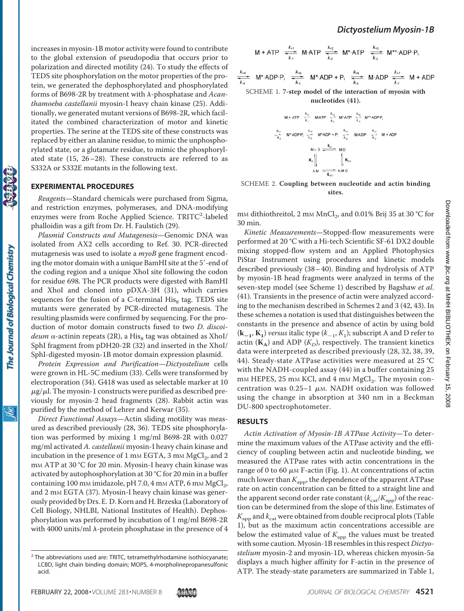increases in myosin-1B motor activity were found to contribute to the global extension of pseudopodia that occurs prior to polarization and directed motility (24). To study the effects of TEDS site phosphorylation on the motor properties of the protein, we generated the dephosphorylated and phosphorylated forms of B698-2R by treatment with  $\lambda$ -phosphatase and Acan*thamoeba castellanii* myosin-I heavy chain kinase (25). Additionally, we generated mutant versions of B698-2R, which facilitated the combined characterization of motor and kinetic properties. The serine at the TEDS site of these constructs was replaced by either an alanine residue, to mimic the unphosphorylated state, or a glutamate residue, to mimic the phosphorylated state (15, 26–28). These constructs are referred to as S332A or S332E mutants in the following text.

## **EXPERIMENTAL PROCEDURES**

The Journal of Biological Chemistry

*Reagents*—Standard chemicals were purchased from Sigma, and restriction enzymes, polymerases, and DNA-modifying enzymes were from Roche Applied Science. TRITC<sup>2</sup>-labeled phalloidin was a gift from Dr. H. Faulstich (29).

*Plasmid Constructs and Mutagenesis*—Genomic DNA was isolated from AX2 cells according to Ref. 30. PCR-directed mutagenesis was used to isolate a *myoB* gene fragment encoding the motor domain with a unique BamHI site at the 5'-end of the coding region and a unique XhoI site following the codon for residue 698. The PCR products were digested with BamHI and XhoI and cloned into pDXA-3H (31), which carries sequences for the fusion of a C-terminal  $His<sub>8</sub>$  tag. TEDS site mutants were generated by PCR-directed mutagenesis. The resulting plasmids were confirmed by sequencing. For the production of motor domain constructs fused to two *D. discoi* $deum \alpha$ -actinin repeats (2R), a His<sub>8</sub> tag was obtained as XhoI/ SphI fragment from pDH20-2R (32) and inserted in the XhoI/ SphI-digested myosin-1B motor domain expression plasmid.

*Protein Expression and Purification*—*Dictyostelium* cells were grown in HL-5C medium (33). Cells were transformed by electroporation (34). G418 was used as selectable marker at 10  $\mu$ g/ $\mu$ l. The myosin-1 constructs were purified as described previously for myosin-2 head fragments (28). Rabbit actin was purified by the method of Lehrer and Kerwar (35).

*Direct Functional Assays*—Actin sliding motility was measured as described previously (28, 36). TEDS site phosphorylation was performed by mixing 1 mg/ml B698-2R with 0.027 mg/ml activated *A. castellanii* myosin-I heavy chain kinase and incubation in the presence of 1 mm EGTA, 3 mm  $MgCl<sub>2</sub>$ , and 2 mM ATP at 30 °C for 20 min. Myosin-I heavy chain kinase was activated by autophosphorylation at 30 °C for 20 min in a buffer containing 100 mm imidazole, pH 7.0, 4 mm ATP, 6 mm  $MgCl<sub>2</sub>$ , and 2 mM EGTA (37). Myosin-I heavy chain kinase was generously provided by Drs. E. D. Korn and H. Brzeska (Laboratory of Cell Biology, NHLBI, National Institutes of Health). Dephosphorylation was performed by incubation of 1 mg/ml B698-2R with 4000 units/ml  $\lambda$ -protein phosphatase in the presence of 4

$$
M + ATP \stackrel{k_{+1}}{\overbrace{\phantom{k_{+1}}^{k_{-1}}}} \text{M·ATP} \stackrel{k_{+2}}{\overbrace{\phantom{k_{+2}}^{k_{-2}}}} \text{M*-ATP} \stackrel{k_{+3}}{\overbrace{\phantom{k_{+3}}^{k_{-3}}}} \text{M***-ADP·P}_i
$$

$$
\frac{k_{44}}{k_{4}} \text{ M*ADP-P}_i \xrightarrow[k_{5}]{k_{45}} \text{ M*ADP + P}_i \xrightarrow[k_{65}]{k_{46}} \text{ M} \text{ADP} \xrightarrow[k_{7}]{k_{7}} \text{ M} + \text{ADP}
$$

SCHEME 1. **7-step model of the interaction of myosin with nucleotides (41).**

M+ATP 
$$
\frac{k_{x_2}}{k_x}
$$
 M-ATP  $\frac{k_{x_2}}{k_x}$  M-ATP  $\frac{k_{x_2}}{k_x}$  M-ADPP,  
\n $\frac{k_{x_2}}{k_x}$  M-ADPP,  $\frac{k_{x_2}}{k_x}$  M-ADP +P,  $\frac{k_{x_2}}{k_x}$  MADP  $\frac{k_{x_2}}{k_x}$  M+ADP  
\n $M+D \xrightarrow{K_D} M D$   
\n $K_A \parallel M \rightarrow K_{DA}$   
\nAM  $\xrightarrow{K_{AD}}$  AMD

## SCHEME 2. **Coupling between nucleotide and actin binding sites.**

mm dithiothreitol, 2 mm  $MnCl<sub>2</sub>$ , and 0.01% Brij 35 at 30 °C for 30 min.

*Kinetic Measurements*—Stopped-flow measurements were performed at 20 °C with a Hi-tech Scientific SF-61 DX2 double mixing stopped-flow system and an Applied Photophysics PiStar Instrument using procedures and kinetic models described previously  $(38 – 40)$ . Binding and hydrolysis of ATP by myosin-1B head fragments were analyzed in terms of the seven-step model (see Scheme 1) described by Bagshaw *et al*. (41). Transients in the presence of actin were analyzed according to the mechanism described in Schemes 2 and 3 (42, 43). In these schemes a notation is used that distinguishes between the constants in the presence and absence of actin by using bold  $(\mathbf{k}_{-1}, \mathbf{K}_{1})$  *versus* italic type  $(k_{-1}, K_{1})$ ; subscript A and D refer to actin  $(K_A)$  and ADP  $(K_D)$ , respectively. The transient kinetics data were interpreted as described previously (28, 32, 38, 39, 44). Steady-state ATPase activities were measured at 25 °C with the NADH-coupled assay (44) in a buffer containing 25 mm HEPES, 25 mm KCl, and 4 mm MgCl<sub>2</sub>. The myosin concentration was  $0.25-1$   $\mu$ m. NADH oxidation was followed using the change in absorption at 340 nm in a Beckman DU-800 spectrophotometer.

## **RESULTS**

*Actin Activation of Myosin-1B ATPase Activity*—To determine the maximum values of the ATPase activity and the efficiency of coupling between actin and nucleotide binding, we measured the ATPase rates with actin concentrations in the range of 0 to 60  $\mu$ M F-actin (Fig. 1). At concentrations of actin much lower than  $K_{\text{app}}$ , the dependence of the apparent ATPase rate on actin concentration can be fitted to a straight line and the apparent second order rate constant  $(k_{\text{cat}}/K_{\text{app}})$  of the reaction can be determined from the slope of this line. Estimates of  $K_{\rm app}$  and  $k_{\rm cat}$  were obtained from double reciprocal plots (Table 1), but as the maximum actin concentrations accessible are below the estimated value of  $K_{\text{app}}$  the values must be treated with some caution. Myosin-1B resembles in this respect *Dictyostelium* myosin-2 and myosin-1D, whereas chicken myosin-5a displays a much higher affinity for F-actin in the presence of ATP. The steady-state parameters are summarized in Table 1,

 $2$  The abbreviations used are: TRITC, tetramethylrhodamine isothiocyanate; LCBD, light chain binding domain; MOPS, 4-morpholinepropanesulfonic acid.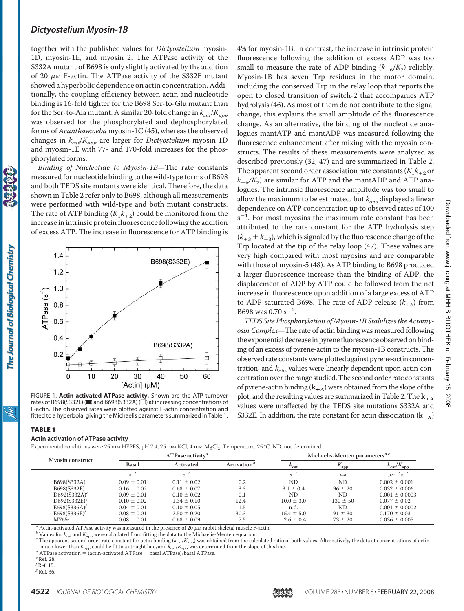together with the published values for *Dictyostelium* myosin-1D, myosin-1E, and myosin 2. The ATPase activity of the S332A mutant of B698 is only slightly activated by the addition of 20  $\mu$ M F-actin. The ATPase activity of the S332E mutant showed a hyperbolic dependence on actin concentration. Additionally, the coupling efficiency between actin and nucleotide binding is 16-fold tighter for the B698 Ser-to-Glu mutant than for the Ser-to-Ala mutant. A similar 20-fold change in  $k_{cat}/K_{app}$ was observed for the phosphorylated and dephosphorylated forms of *Acanthamoeba* myosin-1C (45), whereas the observed changes in *kcat*/*Kapp* are larger for *Dictyostelium* myosin-1D and myosin-1E with 77- and 170-fold increases for the phosphorylated forms.

*Binding of Nucleotide to Myosin-1B*—The rate constants measured for nucleotide binding to the wild-type forms of B698 and both TEDS site mutants were identical. Therefore, the data shown in Table 2 refer only to B698, although all measurements were performed with wild-type and both mutant constructs. The rate of ATP binding  $(K_1k_{+2})$  could be monitored from the increase in intrinsic protein fluorescence following the addition of excess ATP. The increase in fluorescence for ATP binding is



FIGURE 1. **Actin-activated ATPase activity.** Shown are the ATP turnover rates of B698(S332E) ( $\blacksquare$ ) and B698(S332A) ( $\Box$ ) at increasing concentrations of F-actin. The observed rates were plotted against F-actin concentration and fitted to a hyperbola, giving the Michaelis parameters summarized in Table 1.

4% for myosin-1B. In contrast, the increase in intrinsic protein fluorescence following the addition of excess ADP was too small to measure the rate of ADP binding  $(k_{-6}/K_7)$  reliably. Myosin-1B has seven Trp residues in the motor domain, including the conserved Trp in the relay loop that reports the open to closed transition of switch-2 that accompanies ATP hydrolysis (46). As most of them do not contribute to the signal change, this explains the small amplitude of the fluorescence change. As an alternative, the binding of the nucleotide analogues mantATP and mantADP was measured following the fluorescence enhancement after mixing with the myosin constructs. The results of these measurements were analyzed as described previously (32, 47) and are summarized in Table 2. The apparent second order association rate constants  $(K_1k_{+2}$  or  $k_{-6}/K_7$ ) are similar for ATP and the mantADP and ATP analogues. The intrinsic fluorescence amplitude was too small to allow the maximum to be estimated, but  $k_{\text{obs}}$  displayed a linear dependence on ATP concentration up to observed rates of 100  $s^{-1}$ . For most myosins the maximum rate constant has been attributed to the rate constant for the ATP hydrolysis step  $(k_{+3}+k_{-3}),$  which is signaled by the fluorescence change of the Trp located at the tip of the relay loop (47). These values are very high compared with most myosins and are comparable with those of myosin-5 (48). As ATP binding to B698 produced a larger fluorescence increase than the binding of ADP, the displacement of ADP by ATP could be followed from the net increase in fluorescence upon addition of a large excess of ATP to ADP-saturated B698. The rate of ADP release  $(k_{+6})$  from B698 was 0.70 s<sup>-1</sup>.

*TEDS Site Phosphorylation of Myosin-1B Stabilizes the Actomyosin Complex*—The rate of actin binding was measured following the exponential decrease in pyrene fluorescence observed on binding of an excess of pyrene-actin to the myosin-1B constructs. The observed rate constants were plotted against pyrene-actin concentration, and  $k_{obs}$  values were linearly dependent upon actin concentration over the range studied.The second order rate constants of pyrene-actin binding  $(k_{+A})$  were obtained from the slope of the plot, and the resulting values are summarized in Table 2. The  $\mathbf{k}_{+A}$ values were unaffected by the TEDS site mutations S332A and S332E. In addition, the rate constant for actin dissociation (**k**-**A**)

## TABLE 1

The Journal of Biological Chemistry

#### **Actin activation of ATPase activity**

Experimental conditions were 25 mm HEPES, pH 7.4, 25 mm KCl, 4 mm MgCl<sub>2</sub>. Temperature, 25 °C. ND, not determined.

| <b>Myosin construct</b> | $ATP$ ase activitv <sup>a</sup> |                 |                                      | Michaelis-Menten parameters <sup>b,c</sup> |                           |                           |
|-------------------------|---------------------------------|-----------------|--------------------------------------|--------------------------------------------|---------------------------|---------------------------|
|                         | <b>Basal</b>                    | Activated       | Activation <sup><math>d</math></sup> | $R_{cat}$                                  | $\mathbf{A}_{\text{app}}$ | $k_{\rm cat}/K_{\rm app}$ |
|                         | $c^{-1}$                        | $s^{-1}$        |                                      | $s^{-1}$                                   | $\mu$ <sub>M</sub>        | $\mu M^{-1} s^{-1}$       |
| B698(S332A)             | $0.09 \pm 0.01$                 | $0.11 \pm 0.02$ | 0.2                                  | ND.                                        | <b>ND</b>                 | $0.002 \pm 0.001$         |
| B698(S332E)             | $0.16 \pm 0.02$                 | $0.68 \pm 0.07$ | 3.3                                  | $3.1 \pm 0.4$                              | $96 \pm 20$               | $0.032 \pm 0.006$         |
| $D692(S332A)^e$         | $0.09 \pm 0.01$                 | $0.10 \pm 0.02$ | 0.1                                  | ND                                         | <b>ND</b>                 | $0.001 \pm 0.0003$        |
| $D692(S332E)^e$         | $0.10 \pm 0.02$                 | $1.34 \pm 0.10$ | 12.4                                 | $10.0 \pm 3.0$                             | $130 \pm 50$              | $0.077 \pm 0.02$          |
| E698(S336A)             | $0.04 \pm 0.01$                 | $0.10 \pm 0.05$ | 1.5                                  | n.d.                                       | <b>ND</b>                 | $0.001 \pm 0.0002$        |
| E698(S336E)             | $0.08 \pm 0.01$                 | $2.50 \pm 0.20$ | 30.3                                 | $15.4 \pm 5.0$                             | $91 \pm 30$               | $0.170 \pm 0.03$          |
| M765 <sup>g</sup>       | $0.08 \pm 0.01$                 | $0.68 \pm 0.09$ | 7.5                                  | $2.6 \pm 0.4$                              | $73 \pm 20$               | $0.036 \pm 0.005$         |

<sup>a</sup> Actin-activated ATPase activity was measured in the presence of 20  $\mu$ m rabbit skeletal muscle F-actin.<br><sup>b</sup> Values for k<sub>cat</sub> and K<sub>app</sub> were calculated from fitting the data to the Michaelis-Menten equation.<br><sup>c</sup> The much lower than  $K_{\text{app}}$  could be fit to a straight line, and  $k_{\text{car}}/K_{\text{app}}$  was determined from the slope of this line.<br><sup>d</sup> ATPase activation = (actin-activated ATPase - basal ATPase)/basal ATPase.<br><sup>e</sup> Ref. 28.

*f* Ref. 15.

*<sup>g</sup>* Ref. 36.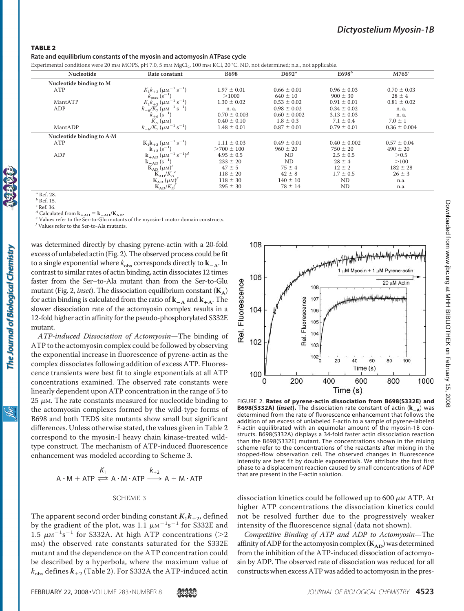#### TABLE 2

**Rate and equilibrium constants of the myosin and actomyosin ATPase cycle**

Experimental conditions were 20 mM MOPS, pH 7.0, 5 mM MgCl<sub>2</sub>, 100 mM KCl, 20 °C. ND, not determined; n.a., not applicable.

| Nucleotide                        | Rate constant                                                    | <b>B698</b>      | $D692^a$         | E698 <sup>b</sup> | $M765^c$         |
|-----------------------------------|------------------------------------------------------------------|------------------|------------------|-------------------|------------------|
| Nucleotide binding to M           |                                                                  |                  |                  |                   |                  |
| ATP                               | $K_1k_{+2}$ ( $\mu$ M <sup>-1</sup> s <sup>-1</sup> )            | $1.97 \pm 0.01$  | $0.66 \pm 0.01$  | $0.96 \pm 0.03$   | $0.70 \pm 0.03$  |
|                                   | $k_{\rm max}$ (s <sup>-1</sup> )                                 | >1000            | $640 \pm 10$     | $900 \pm 30$      | $28 \pm 4$       |
| MantATP                           | $K_1\overline{k}_{+2}$ ( $\mu$ M <sup>-1</sup> s <sup>-1</sup> ) | $1.30 \pm 0.02$  | $0.53 \pm 0.02$  | $0.91 \pm 0.01$   | $0.81 \pm 0.02$  |
| ADP                               | $k_{-6}/K_7$ ( $\mu$ M <sup>-1</sup> s <sup>-1</sup> )           | n. a.            | $0.98 \pm 0.02$  | $0.34 \pm 0.02$   | n. a.            |
|                                   | $k_{+6}$ (s <sup>-1</sup> )                                      | $0.70 \pm 0.003$ | $0.60 \pm 0.002$ | $3.13 \pm 0.03$   | n. a.            |
|                                   | $K_D(\mu M)$                                                     | $0.40 \pm 0.10$  | $1.8 \pm 0.3$    | $7.1 \pm 0.4$     | $7.0 \pm 1$      |
| MantADP                           | $k_{-6}/K_7$ ( $\mu$ M <sup>-1</sup> s <sup>-1</sup> )           | $1.48 \pm 0.01$  | $0.87 \pm 0.01$  | $0.79 \pm 0.01$   | $0.36 \pm 0.004$ |
| Nucleotide binding to $A \cdot M$ |                                                                  |                  |                  |                   |                  |
| ATP                               | $K_1k_{+2}(\mu\text{M}^{-1}\text{ s}^{-1})$                      | $1.11 \pm 0.03$  | $0.49 \pm 0.01$  | $0.40 \pm 0.002$  | $0.57 \pm 0.04$  |
|                                   | $k_{+2}(s^{-1})$                                                 | $>700 \pm 100$   | $960 \pm 20$     | $750 \pm 20$      | $490 \pm 20$     |
| ADP                               | $k_{+AD}^{+2}$ $(\mu M^{-1} s^{-1})^d$<br>$k_{-AD} (s^{-1})$     | $4.95 \pm 0.5$   | <b>ND</b>        | $2.5 \pm 0.5$     | > 0.5            |
|                                   |                                                                  | $233 \pm 20$     | <b>ND</b>        | $28 \pm 4$        | >100             |
|                                   | $K_{AD}(\mu M)^e$                                                | $47 \pm 5$       | $75 \pm 4$       | $12 \pm 2$        | $182 \pm 28$     |
|                                   | $K_{AD}/K_D{}^e$                                                 | $118 \pm 20$     | $42 \pm 8$       | $1.7 \pm 0.5$     | $26 \pm 3$       |
|                                   | $K_{AD}$ ( $\mu$ M) <sup><math>\prime</math></sup>               | $118 \pm 30$     | $140 \pm 10$     | ND                | n.a.             |
|                                   | $K_{AD}/K_D$                                                     | $295 \pm 30$     | $78 \pm 14$      | ND                | n.a.             |

The Journal of Biological Chemistry

*<sup>a</sup>* Ref. 28. *<sup>b</sup>* Ref. 15.

*<sup>c</sup>* Ref. 36.

*d* Calculated from  $\mathbf{k}_{+AD} = \mathbf{k}_{-AD}/\mathbf{K}_{AD}$ .

<sup>e</sup> Values refer to the Ser-to-Glu mutants of the myosin-1 motor domain constructs. *<sup>f</sup>* Values refer to the Ser-to-Ala mutants.

was determined directly by chasing pyrene-actin with a 20-fold excess of unlabeled actin (Fig. 2). The observed process could be fit to a single exponential where  $k_{\text{obs}}$  corresponds directly to  $\mathbf{k}_{-\mathbf{A}}$ . In contrast to similar rates of actin binding, actin dissociates 12 times faster from the Ser–to-Ala mutant than from the Ser-to-Glu mutant (Fig. 2, *inset*). The dissociation equilibrium constant  $(K_A)$ for actin binding is calculated from the ratio of  $\mathbf{k}_{-\mathbf{A}}$  and  $\mathbf{k}_{+\mathbf{A}}$ . The slower dissociation rate of the actomyosin complex results in a 12-fold higher actin affinity for the pseudo-phosphorylated S332E mutant.

*ATP-induced Dissociation of Actomyosin*—The binding of ATP to the actomyosin complex could be followed by observing the exponential increase in fluorescence of pyrene-actin as the complex dissociates following addition of excess ATP. Fluorescence transients were best fit to single exponentials at all ATP concentrations examined. The observed rate constants were linearly dependent upon ATP concentration in the range of 5 to  $25 \mu$ M. The rate constants measured for nucleotide binding to the actomyosin complexes formed by the wild-type forms of B698 and both TEDS site mutants show small but significant differences. Unless otherwise stated, the values given in Table 2 correspond to the myosin-I heavy chain kinase-treated wildtype construct. The mechanism of ATP-induced fluorescence enhancement was modeled according to Scheme 3.

$$
K_1
$$
  
A · M + ATP  $\Longleftrightarrow$  A · M · ATP  $\longrightarrow$  A + M · ATP

#### SCHEME 3

The apparent second order binding constant  $K_1k_{+2}$ , defined by the gradient of the plot, was 1.1  $\mu$ M<sup>-1</sup>s<sup>-1</sup> for S332E and 1.5  $\mu$ M<sup>-1</sup>s<sup>-1</sup> for S332A. At high ATP concentrations (>2 mM) the observed rate constants saturated for the S332E mutant and the dependence on the ATP concentration could be described by a hyperbola, where the maximum value of  $k_{\text{obs}}$  defines  $k_{+2}$  (Table 2). For S332A the ATP-induced actin



FIGURE 2. **Rates of pyrene-actin dissociation from B698(S332E) and B698(S332A) (***inset***).** The dissociation rate constant of actin (**k**-**<sup>A</sup>**) was determined from the rate of fluorescence enhancement that follows the addition of an excess of unlabeled F-actin to a sample of pyrene-labeled F-actin equilibrated with an equimolar amount of the myosin-1B constructs. B698(S332A) displays a 34-fold faster actin dissociation reaction than the B698(S332E) mutant. The concentrations shown in the mixing scheme refer to the concentrations of the reactants after mixing in the stopped-flow observation cell. The observed changes in fluorescence intensity are best fit by double exponentials. We attribute the fast first phase to a displacement reaction caused by small concentrations of ADP that are present in the F-actin solution.

dissociation kinetics could be followed up to 600  $\mu$ M ATP. At higher ATP concentrations the dissociation kinetics could not be resolved further due to the progressively weaker intensity of the fluorescence signal (data not shown).

*Competitive Binding of ATP and ADP to Actomyosin*—The affinity of ADP for the actomyosin complex  $(K_{AD})$  was determined from the inhibition of the ATP-induced dissociation of actomyosin by ADP. The observed rate of dissociation was reduced for all constructs when excess ATP was added to actomyosin in the pres-

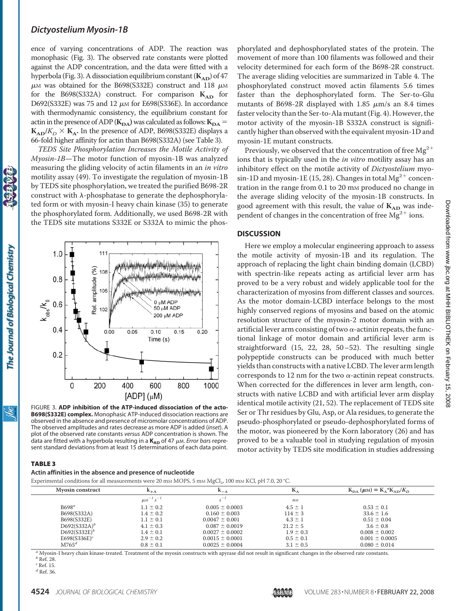ence of varying concentrations of ADP. The reaction was monophasic (Fig. 3). The observed rate constants were plotted against the ADP concentration, and the data were fitted with a hyperbola (Fig. 3). A dissociation equilibrium constant  $(K_{AD})$  of 47  $\mu$ M was obtained for the B698(S332E) construct and 118  $\mu$ M for the B698(S332A) construct. For comparison  $K_{AD}$  for D692(S332E) was 75 and 12  $\mu$ M for E698(S336E). In accordance with thermodynamic consistency, the equilibrium constant for actin in the presence of ADP ( $\mathbf{K}_{\mathbf{DA}}$ ) was calculated as follows:  $\mathbf{K}_{\mathbf{DA}} =$  $K_{AD}/K_D \times K_A$ . In the presence of ADP, B698(S332E) displays a 66-fold higher affinity for actin than B698(S332A) (see Table 3).

*TEDS Site Phosphorylation Increases the Motile Activity of Myosin-1B*—The motor function of myosin-1B was analyzed measuring the gliding velocity of actin filaments in an *in vitro* motility assay (49). To investigate the regulation of myosin-1B by TEDS site phosphorylation, we treated the purified B698-2R construct with  $\lambda$ -phosphatase to generate the dephosphorylated form or with myosin-I heavy chain kinase (35) to generate the phosphorylated form. Additionally, we used B698-2R with the TEDS site mutations S332E or S332A to mimic the phos-



FIGURE 3. **ADP inhibition of the ATP-induced dissociation of the acto-B698(S332E) complex.** Monophasic ATP-induced dissociation reactions are observed in the absence and presence of micromolar concentrations of ADP. The observed amplitudes and rates decrease as more ADP is added (*inset*). A plot of the observed rate constants *versus* ADP concentration is shown. The data are fitted with a hyperbola resulting in a  $K_{AD}$  of 47  $\mu$ m. *Error bars* represent standard deviations from at least 15 determinations of each data point.

phorylated and dephosphorylated states of the protein. The movement of more than 100 filaments was followed and their velocity determined for each form of the B698-2R construct. The average sliding velocities are summarized in Table 4. The phosphorylated construct moved actin filaments 5.6 times faster than the dephosphorylated form. The Ser-to-Glu mutants of B698-2R displayed with 1.85  $\mu$ m/s an 8.4 times faster velocity than the Ser-to-Ala mutant (Fig. 4). However, the motor activity of the myosin-1B S332A construct is significantly higher than observed with the equivalent myosin-1D and myosin-1E mutant constructs.

Previously, we observed that the concentration of free  $Mg^{2+}$ ions that is typically used in the *in vitro* motility assay has an inhibitory effect on the motile activity of *Dictyostelium* myosin-1D and myosin-1E (15, 28). Changes in total  $Mg^{2+}$  concentration in the range from 0.1 to 20 mm produced no change in the average sliding velocity of the myosin-1B constructs. In good agreement with this result, the value of  $K_{AD}$  was independent of changes in the concentration of free  $Mg^{2+}$  ions.

### **DISCUSSION**

Here we employ a molecular engineering approach to assess the motile activity of myosin-1B and its regulation. The approach of replacing the light chain binding domain (LCBD) with spectrin-like repeats acting as artificial lever arm has proved to be a very robust and widely applicable tool for the characterization of myosins from different classes and sources. As the motor domain-LCBD interface belongs to the most highly conserved regions of myosins and based on the atomic resolution structure of the myosin-2 motor domain with an artificial lever arm consisting of two  $\alpha$ -actinin repeats, the functional linkage of motor domain and artificial lever arm is straightforward (15, 22, 28, 50–52). The resulting single polypeptide constructs can be produced with much better yields than constructs with a native LCBD. The lever arm length corresponds to 12 nm for the two  $\alpha$ -actinin repeat constructs. When corrected for the differences in lever arm length, constructs with native LCBD and with artificial lever arm display identical motile activity (21, 52). The replacement of TEDS site Ser or Thr residues by Glu, Asp, or Ala residues, to generate the pseudo-phosphorylated or pseudo-dephosphorylated forms of the motor, was pioneered by the Korn laboratory (26) and has proved to be a valuable tool in studying regulation of myosin motor activity by TEDS site modification in studies addressing

## TABLE 3

#### **Actin affinities in the absence and presence of nucleotide**

Experimental conditions for all measurements were 20 mM MOPS,  $5 \text{ mm}$  MgCl  $100 \text{ mm}$  KCl, pH 7.0, 20 °C.

| <b>Mvosin construct</b>  | $A_{-A}$<br>$A^+A$  |                     | N.             | $K_{DA}(\mu M) = K_A * K_{AD}/K_D$ |  |
|--------------------------|---------------------|---------------------|----------------|------------------------------------|--|
|                          | $\mu M^{-1} s^{-1}$ |                     | n <sub>M</sub> |                                    |  |
| B698 <sup>a</sup>        | $1.1 \pm 0.2$       | $0.005 \pm 0.0003$  | $4.5 \pm 1$    | $0.53 \pm 0.1$                     |  |
| B698(S332A)              | $1.4 \pm 0.2$       | $0.160 \pm 0.003$   | $114 \pm 3$    | $33.6 \pm 1.6$                     |  |
| B698(S332E)              | $1.1 \pm 0.1$       | $0.0047 \pm 0.001$  | $4.3 \pm 1$    | $0.51 \pm 0.04$                    |  |
| $D692(S332A)^{b}$        | $4.1 \pm 0.3$       | $0.087 \pm 0.0019$  | $21.2 \pm 5$   | $3.6 \pm 0.8$                      |  |
| $D692(S332E)^{b}$        | $1.4 \pm 0.1$       | $0.0027 \pm 0.0002$ | $1.9 \pm 0.3$  | $0.008 \pm 0.002$                  |  |
| E698(S336E) <sup>c</sup> | $2.9 \pm 0.2$       | $0.0015 \pm 0.0001$ | $0.5 \pm 0.1$  | $0.001 \pm 0.0005$                 |  |
| $M765^d$                 | $0.8 \pm 0.1$       | $0.0025 \pm 0.0004$ | $3.1 \pm 0.5$  | $0.080 \pm 0.014$                  |  |

*<sup>a</sup>* Myosin-I heavy chain kinase-treated. Treatment of the myosin constructs with apyrase did not result in significant changes in the observed rate constants. *<sup>b</sup>* Ref. 28.

*<sup>c</sup>* Ref. 15.

*<sup>d</sup>* Ref. 36.



The Journal of Biological Chemistry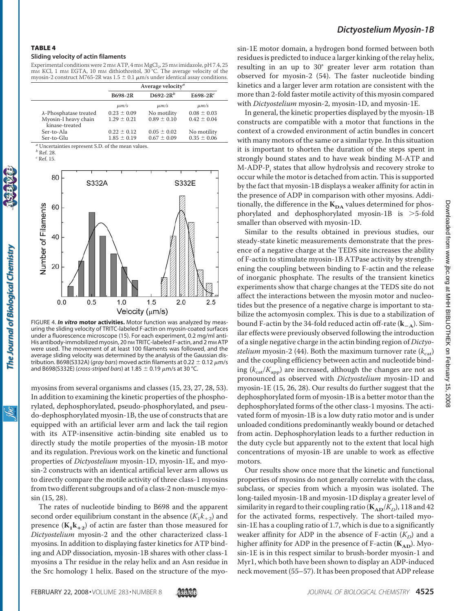#### TABLE 4

#### **Sliding velocity of actin filaments**

Experimental conditions were 2 mm ATP, 4 mm MgCl<sub>2</sub>, 25 mm imidazole, pH 7.4, 25 mM KCl, 1 mM EGTA, 10 mM dithiothreitol, 30 °C. The average velocity of the myosin-2 construct M765-2R was  $1.5 \pm 0.1 \ \mu m/s$  under identical assay conditions.

|                                        |                                    | Average velocity <sup><i>a</i></sup> |                                |
|----------------------------------------|------------------------------------|--------------------------------------|--------------------------------|
|                                        | B698-2R                            | D692-2 $R^b$                         | E698-2 $R^c$                   |
|                                        | $\mu$ m/s                          | $\mu$ m/s                            | $\mu$ m/s                      |
| $\lambda$ -Phosphatase treated         | $0.23 \pm 0.09$                    | No motility                          | $0.08 \pm 0.03$                |
| Myosin-I heavy chain<br>kinase-treated | $1.29 \pm 0.21$                    | $0.89 \pm 0.10$                      | $0.42 \pm 0.04$                |
| Ser-to-Ala<br>Ser-to-Glu               | $0.22 \pm 0.12$<br>$1.85 \pm 0.19$ | $0.05 \pm 0.02$<br>$0.67 \pm 0.09$   | No motility<br>$0.35 \pm 0.06$ |
|                                        |                                    |                                      |                                |

*<sup>a</sup>* Uncertainties represent S.D. of the mean values.

*<sup>c</sup>* Ref. 15.



FIGURE 4. *In vitro* **motor activities.** Motor function was analyzed by measuring the sliding velocity of TRITC-labeled F-actin on myosin-coated surfaces under a fluorescence microscope (15). For each experiment, 0.2 mg/ml anti-His antibody-immobilized myosin, 20 nm TRITC-labeled F-actin, and 2 mm ATP were used. The movement of at least 100 filaments was followed, and the average sliding velocity was determined by the analysis of the Gaussian distribution. B698(S332A) (*gray bars*) moved actin filaments at 0.22  $\pm$  0.12  $\mu$ m/s and B698(S332E) (*cross-striped bars*) at 1.85  $\pm$  0.19  $\mu$ m/s at 30 °C.

myosins from several organisms and classes (15, 23, 27, 28, 53). In addition to examining the kinetic properties of the phosphorylated, dephosphorylated, pseudo-phosphorylated, and pseudo-dephosphorylated myosin-1B, the use of constructs that are equipped with an artificial lever arm and lack the tail region with its ATP-insensitive actin-binding site enabled us to directly study the motile properties of the myosin-1B motor and its regulation. Previous work on the kinetic and functional properties of *Dictyostelium* myosin-1D, myosin-1E, and myosin-2 constructs with an identical artificial lever arm allows us to directly compare the motile activity of three class-1 myosins from two different subgroups and of a class-2 non-muscle myosin (15, 28).

The rates of nucleotide binding to B698 and the apparent second order equilibrium constant in the absence  $(K_1k_{+2})$  and presence  $(K_1k_{+2})$  of actin are faster than those measured for *Dictyostelium* myosin-2 and the other characterized class-1 myosins. In addition to displaying faster kinetics for ATP binding and ADP dissociation, myosin-1B shares with other class-1 myosins a Thr residue in the relay helix and an Asn residue in the Src homology 1 helix. Based on the structure of the myosin-1E motor domain, a hydrogen bond formed between both residues is predicted to induce a larger kinking of the relay helix, resulting in an up to 30° greater lever arm rotation than observed for myosin-2 (54). The faster nucleotide binding kinetics and a larger lever arm rotation are consistent with the more than 2-fold faster motile activity of this myosin compared with *Dictyostelium* myosin-2, myosin-1D, and myosin-1E.

In general, the kinetic properties displayed by the myosin-1B constructs are compatible with a motor that functions in the context of a crowded environment of actin bundles in concert with many motors of the same or a similar type. In this situation it is important to shorten the duration of the steps spent in strongly bound states and to have weak binding M-ATP and M-ADP-P<sub>i</sub> states that allow hydrolysis and recovery stroke to occur while the motor is detached from actin. This is supported by the fact that myosin-1B displays a weaker affinity for actin in the presence of ADP in comparison with other myosins. Additionally, the difference in the  $K_{DA}$  values determined for phosphorylated and dephosphorylated myosin-1B is >5-fold smaller than observed with myosin-1D.

Similar to the results obtained in previous studies, our steady-state kinetic measurements demonstrate that the presence of a negative charge at the TEDS site increases the ability of F-actin to stimulate myosin-1B ATPase activity by strengthening the coupling between binding to F-actin and the release of inorganic phosphate. The results of the transient kinetics experiments show that charge changes at the TEDS site do not affect the interactions between the myosin motor and nucleotides but the presence of a negative charge is important to stabilize the actomyosin complex. This is due to a stabilization of bound F-actin by the 34-fold reduced actin off-rate (**k**-**A**). Similar effects were previously observed following the introduction of a single negative charge in the actin binding region of *Dictyostelium* myosin-2 (44). Both the maximum turnover rate  $(k_{cat})$ and the coupling efficiency between actin and nucleotide binding  $(k_{\text{cat}}/K_{\text{app}})$  are increased, although the changes are not as pronounced as observed with *Dictyostelium* myosin-1D and myosin-1E (15, 26, 28). Our results do further suggest that the dephosphorylated form of myosin-1B is a better motor than the dephosphorylated forms of the other class-1 myosins. The activated form of myosin-1B is a low duty ratio motor and is under unloaded conditions predominantly weakly bound or detached from actin. Dephosphorylation leads to a further reduction in the duty cycle but apparently not to the extent that local high concentrations of myosin-1B are unable to work as effective motors.

Our results show once more that the kinetic and functional properties of myosins do not generally correlate with the class, subclass, or species from which a myosin was isolated. The long-tailed myosin-1B and myosin-1D display a greater level of similarity in regard to their coupling ratio ( $\mathbf{K}_{AD}/K_D$ ), 118 and 42 for the activated forms, respectively. The short-tailed myosin-1E has a coupling ratio of 1.7, which is due to a significantly weaker affinity for ADP in the absence of F-actin  $(K_D)$  and a higher affinity for ADP in the presence of F-actin (K<sub>AD</sub>). Myosin-1E is in this respect similar to brush-border myosin-1 and Myr1, which both have been shown to display an ADP-induced neck movement (55–57). It has been proposed that ADP release

ŇС



*<sup>b</sup>* Ref. 28.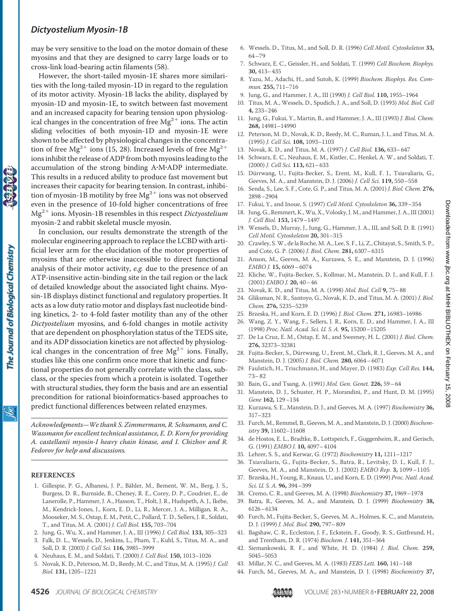may be very sensitive to the load on the motor domain of these myosins and that they are designed to carry large loads or to cross-link load-bearing actin filaments (58).

However, the short-tailed myosin-1E shares more similarities with the long-tailed myosin-1D in regard to the regulation of its motor activity. Myosin-1B lacks the ability, displayed by myosin-1D and myosin-1E, to switch between fast movement and an increased capacity for bearing tension upon physiological changes in the concentration of free  $Mg^{2+}$  ions. The actin sliding velocities of both myosin-1D and myosin-1E were shown to be affected by physiological changes in the concentration of free Mg<sup>2+</sup> ions (15, 28). Increased levels of free Mg<sup>2+</sup> ions inhibit the release of ADP from both myosins leading to the accumulation of the strong binding A-M-ADP intermediate. This results in a reduced ability to produce fast movement but increases their capacity for bearing tension. In contrast, inhibition of myosin-1B motility by free  $Mg^{2+}$  ions was not observed even in the presence of 10-fold higher concentrations of free Mg<sup>2+</sup> ions. Myosin-1B resembles in this respect *Dictyostelium* myosin-2 and rabbit skeletal muscle myosin.

In conclusion, our results demonstrate the strength of the molecular engineering approach to replace the LCBD with artificial lever arm for the elucidation of the motor properties of myosins that are otherwise inaccessible to direct functional analysis of their motor activity, *e.g.* due to the presence of an ATP-insensitive actin-binding site in the tail region or the lack of detailed knowledge about the associated light chains. Myosin-1B displays distinct functional and regulatory properties. It acts as a low duty ratio motor and displays fast nucleotide binding kinetics, 2- to 4-fold faster motility than any of the other *Dictyostelium* myosins, and 6-fold changes in motile activity that are dependent on phosphorylation status of the TEDS site, and its ADP dissociation kinetics are not affected by physiological changes in the concentration of free  $Mg^{2+}$  ions. Finally, studies like this one confirm once more that kinetic and functional properties do not generally correlate with the class, subclass, or the species from which a protein is isolated. Together with structural studies, they form the basis and are an essential precondition for rational bioinformatics-based approaches to predict functional differences between related enzymes.

*Acknowledgments—We thank S. Zimmermann, R. Schumann, and C. Wassmann for excellent technical assistance, E. D. Korn for providing A. castellanii myosin-I heavy chain kinase, and I. Chizhov and R. Fedorov for help and discussions.*

#### **REFERENCES**

The Journal of Biological Chemistry

ibc

- 1. Gillespie, P. G., Albanesi, J. P., Bähler, M., Bement, W. M., Berg, J. S., Burgess, D. R., Burnside, B., Cheney, R. E., Corey, D. P., Coudrier, E., de Lanerolle, P., Hammer, J. A., Hasson, T., Holt, J. R., Hudspeth, A. J., Ikebe, M., Kendrick-Jones, J., Korn, E. D., Li, R., Mercer, J. A., Milligan, R. A., Mooseker, M. S., Ostap, E. M., Petit, C., Pollard, T. D., Sellers, J. R., Soldati, T., and Titus, M. A. (2001) *J. Cell Biol.* **155,** 703–704
- 2. Jung, G., Wu, X., and Hammer, J. A., III (1996) *J. Cell Biol.* **133,** 305–323
- 3. Falk, D. L., Wessels, D., Jenkins, L., Pham, T., Kuhl, S., Titus, M. A., and Soll, D. R. (2003) *J. Cell Sci.* **116,** 3985–3999
- 4. Neuhaus, E. M., and Soldati, T. (2000) *J. Cell Biol.* **150,** 1013–1026
- 5. Novak, K. D., Peterson, M. D., Reedy, M. C., and Titus, M. A. (1995) *J. Cell Biol.* **131,** 1205–1221
- 6. Wessels, D., Titus, M., and Soll, D. R. (1996) *Cell Motil. Cytoskeleton* **33,** 64–79
- 7. Schwarz, E. C., Geissler, H., and Soldati, T. (1999) *Cell Biochem. Biophys.* **30,** 413–435
- 8. Yazu, M., Adachi, H., and Sutoh, K. (1999) *Biochem. Biophys. Res. Commun.* **255,** 711–716
- 9. Jung, G., and Hammer, J. A., III (1990) *J. Cell Biol.* **110,** 1955–1964
- 10. Titus, M. A., Wessels, D., Spudich, J. A., and Soll, D. (1993) *Mol. Biol. Cell* **4,** 233–246
- 11. Jung, G., Fukui, Y., Martin, B., and Hammer, J. A., III (1993) *J. Biol. Chem.* **268,** 14981–14990
- 12. Peterson, M. D., Novak, K. D., Reedy, M. C., Ruman, J. I., and Titus, M. A. (1995) *J. Cell Sci.* **108,** 1093–1103
- 13. Novak, K. D., and Titus, M. A. (1997) *J. Cell Biol.* **136,** 633–647
- 14. Schwarz, E. C., Neuhaus, E. M., Kistler, C., Henkel, A. W., and Soldati, T. (2000) *J. Cell Sci.* **113,** 621–633
- 15. Dürrwang, U., Fujita-Becker, S., Erent, M., Kull, F. J., Tsiavaliaris, G., Geeves, M. A., and Manstein, D. J. (2006) *J. Cell Sci.* **119,** 550–558
- 16. Senda, S., Lee, S. F., Cote, G. P., and Titus, M. A. (2001) *J. Biol. Chem.* **276,** 2898–2904
- 17. Fukui, Y., and Inoue, S. (1997) *Cell Motil. Cytoskeleton* **36,** 339–354
- 18. Jung, G., Remmert, K.,Wu, X., Volosky, J. M., and Hammer, J. A., III (2001) *J. Cell Biol.* **153,** 1479–1497
- 19. Wessels, D., Murray, J., Jung, G., Hammer, J. A., III, and Soll, D. R. (1991) *Cell Motil. Cytoskeleton* **20,** 301–315
- 20. Crawley, S.W., de la Roche, M. A., Lee, S. F., Li, Z., Chitayat, S., Smith, S. P., and Cote, G. P. (2006) *J. Biol. Chem.* **281,** 6307–6315
- 21. Anson, M., Geeves, M. A., Kurzawa, S. E., and Manstein, D. J. (1996) *EMBO J.* **15,** 6069–6074
- 22. Kliche, W., Fujita-Becker, S., Kollmar, M., Manstein, D. J., and Kull, F. J. (2001) *EMBO J.* **20,** 40–46
- 23. Novak, K. D., and Titus, M. A. (1998) *Mol. Biol. Cell* **9,** 75–88
- 24. Gliksman, N. R., Santoyo, G., Novak, K. D., and Titus, M. A. (2001) *J. Biol. Chem.* **276,** 5235–5239
- 25. Brzeska, H., and Korn, E. D. (1996) *J. Biol. Chem.* **271,** 16983–16986
- 26. Wang, Z. Y., Wang, F., Sellers, J. R., Korn, E. D., and Hammer, J. A., III (1998) *Proc. Natl. Acad. Sci. U. S. A.* **95,** 15200–15205
- 27. De La Cruz, E. M., Ostap, E. M., and Sweeney, H. L. (2001) *J. Biol. Chem.* **276,** 32373–32381
- 28. Fujita-Becker, S., Dürrwang, U., Erent, M., Clark, R. J., Geeves, M. A., and Manstein, D. J. (2005) *J. Biol. Chem.* **280,** 6064–6071
- 29. Faulstich, H., Trischmann, H., and Mayer, D. (1983) *Exp. Cell Res.* **144,** 73–82
- 30. Bain, G., and Tsang, A. (1991) *Mol. Gen. Genet.* **226,** 59–64
- 31. Manstein, D. J., Schuster, H. P., Morandini, P., and Hunt, D. M. (1995) *Gene* **162,** 129–134
- 32. Kurzawa, S. E., Manstein, D. J., and Geeves, M. A. (1997) *Biochemistry* **36,** 317–323
- 33. Furch, M., Remmel, B., Geeves, M. A., and Manstein, D. J. (2000) *Biochemistry* **39,** 11602–11608
- 34. de Hostos, E. L., Bradtke, B., Lottspeich, F., Guggenheim, R., and Gerisch, G. (1991) *EMBO J.* **10,** 4097–4104
- 35. Lehrer, S. S., and Kerwar, G. (1972) *Biochemistry* **11,** 1211–1217
- 36. Tsiavaliaris, G., Fujita-Becker, S., Batra, R., Levitsky, D. I., Kull, F. J., Geeves, M. A., and Manstein, D. J. (2002) *EMBO Rep.* **3,** 1099–1105
- 37. Brzeska, H., Young, R., Knaus, U., and Korn, E. D. (1999) *Proc. Natl. Acad. Sci. U. S. A.* **96,** 394–399
- 38. Cremo, C. R., and Geeves, M. A. (1998) *Biochemistry* **37,** 1969–1978
- 39. Batra, R., Geeves, M. A., and Manstein, D. J. (1999) *Biochemistry* **38,** 6126–6134
- 40. Furch, M., Fujita-Becker, S., Geeves, M. A., Holmes, K. C., and Manstein, D. J. (1999) *J. Mol. Biol.* **290,** 797–809
- 41. Bagshaw, C. R., Eccleston, J. F., Eckstein, F., Goody, R. S., Gutfreund, H., and Trentham, D. R. (1974) *Biochem. J.* **141,** 351–364
- 42. Siemankowski, R. F., and White, H. D. (1984) *J. Biol. Chem.* **259,** 5045–5053
- 43. Millar, N. C., and Geeves, M. A. (1983) *FEBS Lett.* **160,** 141–148
- 44. Furch, M., Geeves, M. A., and Manstein, D. J. (1998) *Biochemistry* **37,**